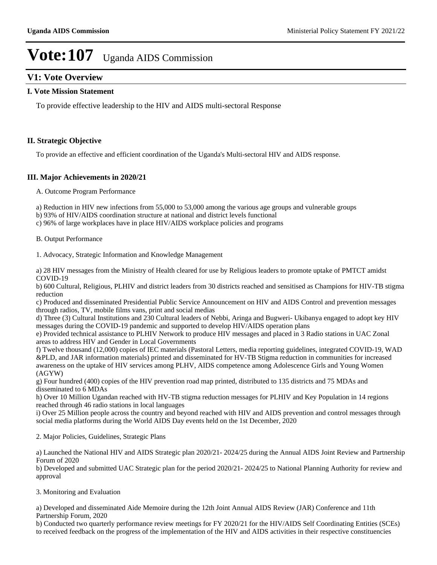## **V1: Vote Overview**

### **I. Vote Mission Statement**

To provide effective leadership to the HIV and AIDS multi-sectoral Response

## **II. Strategic Objective**

To provide an effective and efficient coordination of the Uganda's Multi-sectoral HIV and AIDS response.

## **III. Major Achievements in 2020/21**

A. Outcome Program Performance

a) Reduction in HIV new infections from 55,000 to 53,000 among the various age groups and vulnerable groups

b) 93% of HIV/AIDS coordination structure at national and district levels functional

c) 96% of large workplaces have in place HIV/AIDS workplace policies and programs

B. Output Performance

1. Advocacy, Strategic Information and Knowledge Management

a) 28 HIV messages from the Ministry of Health cleared for use by Religious leaders to promote uptake of PMTCT amidst COVID-19

b) 600 Cultural, Religious, PLHIV and district leaders from 30 districts reached and sensitised as Champions for HIV-TB stigma reduction

c) Produced and disseminated Presidential Public Service Announcement on HIV and AIDS Control and prevention messages through radios, TV, mobile films vans, print and social medias

d) Three (3) Cultural Institutions and 230 Cultural leaders of Nebbi, Aringa and Bugweri- Ukibanya engaged to adopt key HIV messages during the COVID-19 pandemic and supported to develop HIV/AIDS operation plans

e) Provided technical assistance to PLHIV Network to produce HIV messages and placed in 3 Radio stations in UAC Zonal areas to address HIV and Gender in Local Governments

f) Twelve thousand (12,000) copies of IEC materials (Pastoral Letters, media reporting guidelines, integrated COVID-19, WAD &PLD, and JAR information materials) printed and disseminated for HV-TB Stigma reduction in communities for increased awareness on the uptake of HIV services among PLHV, AIDS competence among Adolescence Girls and Young Women (AGYW)

g) Four hundred (400) copies of the HIV prevention road map printed, distributed to 135 districts and 75 MDAs and disseminated to 6 MDAs

h) Over 10 Million Ugandan reached with HV-TB stigma reduction messages for PLHIV and Key Population in 14 regions reached through 46 radio stations in local languages

i) Over 25 Million people across the country and beyond reached with HIV and AIDS prevention and control messages through social media platforms during the World AIDS Day events held on the 1st December, 2020

2. Major Policies, Guidelines, Strategic Plans

a) Launched the National HIV and AIDS Strategic plan 2020/21- 2024/25 during the Annual AIDS Joint Review and Partnership Forum of 2020

b) Developed and submitted UAC Strategic plan for the period 2020/21- 2024/25 to National Planning Authority for review and approval

3. Monitoring and Evaluation

a) Developed and disseminated Aide Memoire during the 12th Joint Annual AIDS Review (JAR) Conference and 11th Partnership Forum, 2020

b) Conducted two quarterly performance review meetings for FY 2020/21 for the HIV/AIDS Self Coordinating Entities (SCEs) to received feedback on the progress of the implementation of the HIV and AIDS activities in their respective constituencies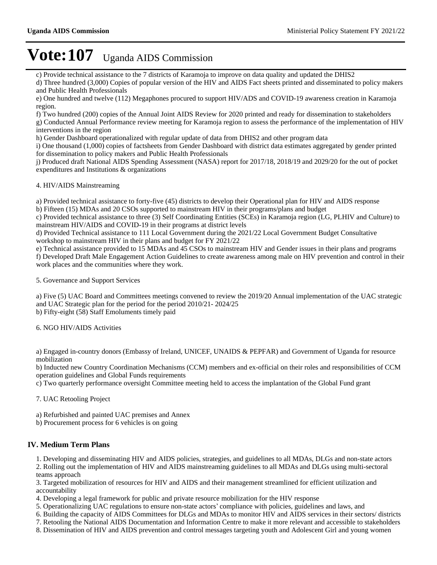c) Provide technical assistance to the 7 districts of Karamoja to improve on data quality and updated the DHIS2

d) Three hundred (3,000) Copies of popular version of the HIV and AIDS Fact sheets printed and disseminated to policy makers and Public Health Professionals

e) One hundred and twelve (112) Megaphones procured to support HIV/ADS and COVID-19 awareness creation in Karamoja region.

f) Two hundred (200) copies of the Annual Joint AIDS Review for 2020 printed and ready for dissemination to stakeholders g) Conducted Annual Performance review meeting for Karamoja region to assess the performance of the implementation of HIV interventions in the region

h) Gender Dashboard operationalized with regular update of data from DHIS2 and other program data

i) One thousand (1,000) copies of factsheets from Gender Dashboard with district data estimates aggregated by gender printed for dissemination to policy makers and Public Health Professionals

j) Produced draft National AIDS Spending Assessment (NASA) report for 2017/18, 2018/19 and 2029/20 for the out of pocket expenditures and Institutions & organizations

## 4. HIV/AIDS Mainstreaming

a) Provided technical assistance to forty-five (45) districts to develop their Operational plan for HIV and AIDS response b) Fifteen (15) MDAs and 20 CSOs supported to mainstream HIV in their programs/plans and budget

c) Provided technical assistance to three (3) Self Coordinating Entities (SCEs) in Karamoja region (LG, PLHIV and Culture) to mainstream HIV/AIDS and COVID-19 in their programs at district levels

d) Provided Technical assistance to 111 Local Government during the 2021/22 Local Government Budget Consultative workshop to mainstream HIV in their plans and budget for FY 2021/22

e) Technical assistance provided to 15 MDAs and 45 CSOs to mainstream HIV and Gender issues in their plans and programs f) Developed Draft Male Engagement Action Guidelines to create awareness among male on HIV prevention and control in their work places and the communities where they work.

5. Governance and Support Services

a) Five (5) UAC Board and Committees meetings convened to review the 2019/20 Annual implementation of the UAC strategic and UAC Strategic plan for the period for the period 2010/21- 2024/25 b) Fifty-eight (58) Staff Emoluments timely paid

6. NGO HIV/AIDS Activities

a) Engaged in-country donors (Embassy of Ireland, UNICEF, UNAIDS & PEPFAR) and Government of Uganda for resource mobilization

b) Inducted new Country Coordination Mechanisms (CCM) members and ex-official on their roles and responsibilities of CCM operation guidelines and Global Funds requirements

c) Two quarterly performance oversight Committee meeting held to access the implantation of the Global Fund grant

7. UAC Retooling Project

a) Refurbished and painted UAC premises and Annex

b) Procurement process for 6 vehicles is on going

## **IV. Medium Term Plans**

1. Developing and disseminating HIV and AIDS policies, strategies, and guidelines to all MDAs, DLGs and non-state actors

2. Rolling out the implementation of HIV and AIDS mainstreaming guidelines to all MDAs and DLGs using multi-sectoral teams approach

3. Targeted mobilization of resources for HIV and AIDS and their management streamlined for efficient utilization and accountability

4. Developing a legal framework for public and private resource mobilization for the HIV response

5. Operationalizing UAC regulations to ensure non-state actors' compliance with policies, guidelines and laws, and

6. Building the capacity of AIDS Committees for DLGs and MDAs to monitor HIV and AIDS services in their sectors/ districts

7. Retooling the National AIDS Documentation and Information Centre to make it more relevant and accessible to stakeholders

8. Dissemination of HIV and AIDS prevention and control messages targeting youth and Adolescent Girl and young women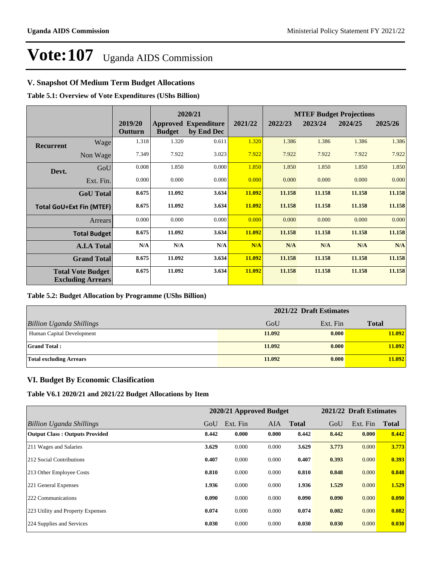## **V. Snapshot Of Medium Term Budget Allocations**

**Table 5.1: Overview of Vote Expenditures (UShs Billion)**

|                  |                                                      |                    |               | 2020/21                                   |         |         | <b>MTEF Budget Projections</b> |         |         |
|------------------|------------------------------------------------------|--------------------|---------------|-------------------------------------------|---------|---------|--------------------------------|---------|---------|
|                  |                                                      | 2019/20<br>Outturn | <b>Budget</b> | <b>Approved Expenditure</b><br>by End Dec | 2021/22 | 2022/23 | 2023/24                        | 2024/25 | 2025/26 |
| <b>Recurrent</b> | Wage                                                 | 1.318              | 1.320         | 0.611                                     | 1.320   | 1.386   | 1.386                          | 1.386   | 1.386   |
|                  | Non Wage                                             | 7.349              | 7.922         | 3.023                                     | 7.922   | 7.922   | 7.922                          | 7.922   | 7.922   |
| Devt.            | GoU                                                  | 0.008              | 1.850         | 0.000                                     | 1.850   | 1.850   | 1.850                          | 1.850   | 1.850   |
|                  | Ext. Fin.                                            | 0.000              | 0.000         | 0.000                                     | 0.000   | 0.000   | 0.000                          | 0.000   | 0.000   |
|                  | <b>GoU</b> Total                                     | 8.675              | 11.092        | 3.634                                     | 11.092  | 11.158  | 11.158                         | 11.158  | 11.158  |
|                  | <b>Total GoU+Ext Fin (MTEF)</b>                      | 8.675              | 11.092        | 3.634                                     | 11.092  | 11.158  | 11.158                         | 11.158  | 11.158  |
|                  | <b>Arrears</b>                                       | 0.000              | 0.000         | 0.000                                     | 0.000   | 0.000   | 0.000                          | 0.000   | 0.000   |
|                  | <b>Total Budget</b>                                  | 8.675              | 11.092        | 3.634                                     | 11.092  | 11.158  | 11.158                         | 11.158  | 11.158  |
|                  | <b>A.I.A Total</b>                                   | N/A                | N/A           | N/A                                       | N/A     | N/A     | N/A                            | N/A     | N/A     |
|                  | <b>Grand Total</b>                                   | 8.675              | 11.092        | 3.634                                     | 11.092  | 11.158  | 11.158                         | 11.158  | 11.158  |
|                  | <b>Total Vote Budget</b><br><b>Excluding Arrears</b> | 8.675              | 11.092        | 3.634                                     | 11.092  | 11.158  | 11.158                         | 11.158  | 11.158  |

### **Table 5.2: Budget Allocation by Programme (UShs Billion)**

|                                 | 2021/22 Draft Estimates |          |              |
|---------------------------------|-------------------------|----------|--------------|
| <b>Billion Uganda Shillings</b> | GoU                     | Ext. Fin | <b>Total</b> |
| Human Capital Development       | 11.092                  | 0.000    | 11.092       |
| <b>Grand Total:</b>             | 11.092                  | 0.000    | 11.092       |
| <b>Total excluding Arrears</b>  | 11.092                  | 0.000    | 11.092       |

## **VI. Budget By Economic Clasification**

**Table V6.1 2020/21 and 2021/22 Budget Allocations by Item**

|                                       |       | 2020/21 Approved Budget |       |              |       | 2021/22 Draft Estimates |              |
|---------------------------------------|-------|-------------------------|-------|--------------|-------|-------------------------|--------------|
| Billion Uganda Shillings              | GoU   | Ext. Fin                | AIA   | <b>Total</b> | GoU   | Ext. Fin                | <b>Total</b> |
| <b>Output Class: Outputs Provided</b> | 8.442 | 0.000                   | 0.000 | 8.442        | 8.442 | 0.000                   | 8.442        |
| 211 Wages and Salaries                | 3.629 | 0.000                   | 0.000 | 3.629        | 3.773 | 0.000                   | 3.773        |
| 212 Social Contributions              | 0.407 | 0.000                   | 0.000 | 0.407        | 0.393 | 0.000                   | 0.393        |
| 213 Other Employee Costs              | 0.810 | 0.000                   | 0.000 | 0.810        | 0.848 | 0.000                   | 0.848        |
| 221 General Expenses                  | 1.936 | 0.000                   | 0.000 | 1.936        | 1.529 | 0.000                   | 1.529        |
| 222 Communications                    | 0.090 | 0.000                   | 0.000 | 0.090        | 0.090 | 0.000                   | 0.090        |
| 223 Utility and Property Expenses     | 0.074 | 0.000                   | 0.000 | 0.074        | 0.082 | 0.000                   | 0.082        |
| 224 Supplies and Services             | 0.030 | 0.000                   | 0.000 | 0.030        | 0.030 | 0.000                   | 0.030        |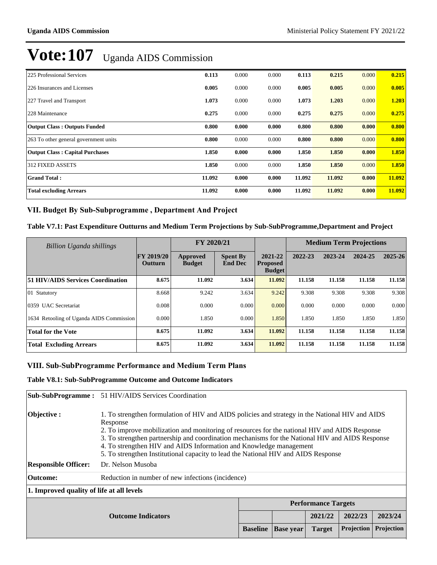| 225 Professional Services              | 0.113  | 0.000 | 0.000 | 0.113  | 0.215  | 0.000 | 0.215  |
|----------------------------------------|--------|-------|-------|--------|--------|-------|--------|
| 226 Insurances and Licenses            | 0.005  | 0.000 | 0.000 | 0.005  | 0.005  | 0.000 | 0.005  |
| 227 Travel and Transport               | 1.073  | 0.000 | 0.000 | 1.073  | 1.203  | 0.000 | 1.203  |
| 228 Maintenance                        | 0.275  | 0.000 | 0.000 | 0.275  | 0.275  | 0.000 | 0.275  |
| <b>Output Class: Outputs Funded</b>    | 0.800  | 0.000 | 0.000 | 0.800  | 0.800  | 0.000 | 0.800  |
| 263 To other general government units  | 0.800  | 0.000 | 0.000 | 0.800  | 0.800  | 0.000 | 0.800  |
| <b>Output Class: Capital Purchases</b> | 1.850  | 0.000 | 0.000 | 1.850  | 1.850  | 0.000 | 1.850  |
| <b>312 FIXED ASSETS</b>                | 1.850  | 0.000 | 0.000 | 1.850  | 1.850  | 0.000 | 1.850  |
| <b>Grand Total:</b>                    | 11.092 | 0.000 | 0.000 | 11.092 | 11.092 | 0.000 | 11.092 |
| <b>Total excluding Arrears</b>         | 11.092 | 0.000 | 0.000 | 11.092 | 11.092 | 0.000 | 11.092 |

## VII. Budget By Sub-Subprogramme, Department And Project

## **Table V7.1: Past Expenditure Outturns and Medium Term Projections by Sub-SubProgramme,Department and Project**

| Billion Uganda shillings                 |                                     | FY 2020/21                |                                   |                                             |         | <b>Medium Term Projections</b> |         |             |
|------------------------------------------|-------------------------------------|---------------------------|-----------------------------------|---------------------------------------------|---------|--------------------------------|---------|-------------|
|                                          | <b>FY 2019/20</b><br><b>Outturn</b> | Approved<br><b>Budget</b> | <b>Spent By</b><br><b>End Dec</b> | 2021-22<br><b>Proposed</b><br><b>Budget</b> | 2022-23 | 2023-24                        | 2024-25 | $2025 - 26$ |
| <b>51 HIV/AIDS Services Coordination</b> | 8.675                               | 11.092                    | 3.634                             | 11.092                                      | 11.158  | 11.158                         | 11.158  | 11.158      |
| $ 01 \t\t$ Statutory                     | 8.668                               | 9.242                     | 3.634                             | 9.242                                       | 9.308   | 9.308                          | 9.308   | 9.308       |
| 0359 UAC Secretariat                     | 0.008                               | 0.000                     | 0.000                             | 0.000                                       | 0.000   | 0.000                          | 0.000   | 0.000       |
| 1634 Retooling of Uganda AIDS Commission | 0.000                               | 1.850                     | 0.000                             | 1.850                                       | 1.850   | 1.850                          | 1.850   | 1.850       |
| <b>Total for the Vote</b>                | 8.675                               | 11.092                    | 3.634                             | 11.092                                      | 11.158  | 11.158                         | 11.158  | 11.158      |
| <b>Total Excluding Arrears</b>           | 8.675                               | 11.092                    | 3.634                             | 11.092                                      | 11.158  | 11.158                         | 11.158  | 11.158      |

## **VIII. Sub-SubProgramme Performance and Medium Term Plans**

### **Table V8.1: Sub-SubProgramme Outcome and Outcome Indicators**

|                                           | <b>Sub-SubProgramme:</b> 51 HIV/AIDS Services Coordination                                                                                                                                                                                                                                                                                                                                                                                                                  |                 |                  |                            |            |            |
|-------------------------------------------|-----------------------------------------------------------------------------------------------------------------------------------------------------------------------------------------------------------------------------------------------------------------------------------------------------------------------------------------------------------------------------------------------------------------------------------------------------------------------------|-----------------|------------------|----------------------------|------------|------------|
| Objective:                                | 1. To strengthen formulation of HIV and AIDS policies and strategy in the National HIV and AIDS<br>Response<br>2. To improve mobilization and monitoring of resources for the national HIV and AIDS Response<br>3. To strengthen partnership and coordination mechanisms for the National HIV and AIDS Response<br>4. To strengthen HIV and AIDS Information and Knowledge management<br>5. To strengthen Institutional capacity to lead the National HIV and AIDS Response |                 |                  |                            |            |            |
| <b>Responsible Officer:</b>               | Dr. Nelson Musoba                                                                                                                                                                                                                                                                                                                                                                                                                                                           |                 |                  |                            |            |            |
| <b>Outcome:</b>                           | Reduction in number of new infections (incidence)                                                                                                                                                                                                                                                                                                                                                                                                                           |                 |                  |                            |            |            |
| 1. Improved quality of life at all levels |                                                                                                                                                                                                                                                                                                                                                                                                                                                                             |                 |                  |                            |            |            |
|                                           |                                                                                                                                                                                                                                                                                                                                                                                                                                                                             |                 |                  | <b>Performance Targets</b> |            |            |
|                                           | <b>Outcome Indicators</b>                                                                                                                                                                                                                                                                                                                                                                                                                                                   |                 |                  | 2021/22                    | 2022/23    | 2023/24    |
|                                           |                                                                                                                                                                                                                                                                                                                                                                                                                                                                             | <b>Baseline</b> | <b>Base</b> year | <b>Target</b>              | Projection | Projection |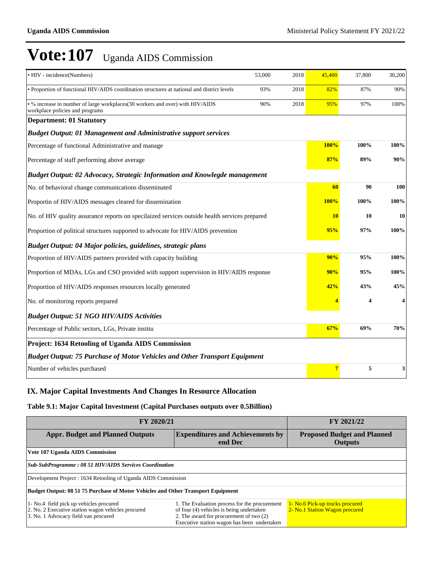| • HIV - incidence(Numbers)                                                                                       | 53,000 | 2018 | 45,400    | 37,800 | 30,200 |
|------------------------------------------------------------------------------------------------------------------|--------|------|-----------|--------|--------|
| • Proportion of functional HIV/AIDS coordination structures at national and district levels                      | 93%    | 2018 | 82%       | 87%    | 90%    |
| • % increase in number of large workplaces(30 workers and over) with HIV/AIDS<br>workplace policies and programs | 90%    | 2018 | 95%       | 97%    | 100%   |
| <b>Department: 01 Statutory</b>                                                                                  |        |      |           |        |        |
| <b>Budget Output: 01 Management and Administrative support services</b>                                          |        |      |           |        |        |
| Percentage of functional Administrative and manage                                                               |        |      | 100%      | 100%   | 100%   |
| Percentage of staff performing above average                                                                     |        |      | 87%       | 89%    | 90%    |
| Budget Output: 02 Advocacy, Strategic Information and Knowlegde management                                       |        |      |           |        |        |
| No. of behavioral change communications disseminated                                                             |        |      | 60        | 90     | 100    |
| Proportin of HIV/AIDS messages cleared for dissemination                                                         |        |      | 100%      | 100%   | 100%   |
| No. of HIV quality assurance reports on specilaized services outside health services prepared                    |        |      | <b>10</b> | 10     | 10     |
| Proportion of political structures supported to advocate for HIV/AIDS prevention                                 |        |      | 95%       | 97%    | 100%   |
| Budget Output: 04 Major policies, guidelines, strategic plans                                                    |        |      |           |        |        |
| Proportion of HIV/AIDS partners provided with capacity building                                                  |        |      | 90%       | 95%    | 100%   |
| Proportion of MDAs, LGs and CSO provided with support supervision in HIV/AIDS response                           |        |      | 90%       | 95%    | 100%   |
| Proportion of HIV/AIDS responses resources locally generated                                                     |        |      | 42%       | 43%    | 45%    |
| No. of monitoring reports prepared                                                                               |        |      |           | 4      | 4      |
| <b>Budget Output: 51 NGO HIV/AIDS Activities</b>                                                                 |        |      |           |        |        |
| Percentage of Public sectors, LGs, Private institu                                                               |        |      | 67%       | 69%    | 70%    |
| Project: 1634 Retooling of Uganda AIDS Commission                                                                |        |      |           |        |        |
| <b>Budget Output: 75 Purchase of Motor Vehicles and Other Transport Equipment</b>                                |        |      |           |        |        |
| Number of vehicles purchased                                                                                     |        |      |           | 5      | 3      |

## **IX. Major Capital Investments And Changes In Resource Allocation**

## **Table 9.1: Major Capital Investment (Capital Purchases outputs over 0.5Billion)**

| FY 2020/21                                                                                                                                                                                                                                                                                                                   | FY 2021/22                                                    |                                                                   |  |  |  |  |
|------------------------------------------------------------------------------------------------------------------------------------------------------------------------------------------------------------------------------------------------------------------------------------------------------------------------------|---------------------------------------------------------------|-------------------------------------------------------------------|--|--|--|--|
| <b>Appr. Budget and Planned Outputs</b><br><b>Expenditures and Achievements by</b><br>end Dec                                                                                                                                                                                                                                |                                                               | <b>Proposed Budget and Planned</b><br><b>Outputs</b>              |  |  |  |  |
| Vote 107 Uganda AIDS Commission                                                                                                                                                                                                                                                                                              |                                                               |                                                                   |  |  |  |  |
|                                                                                                                                                                                                                                                                                                                              | <b>Sub-SubProgramme: 08 51 HIV/AIDS Services Coordination</b> |                                                                   |  |  |  |  |
| Development Project: 1634 Retooling of Uganda AIDS Commission                                                                                                                                                                                                                                                                |                                                               |                                                                   |  |  |  |  |
| Budget Output: 08 51 75 Purchase of Motor Vehicles and Other Transport Equipment                                                                                                                                                                                                                                             |                                                               |                                                                   |  |  |  |  |
| 1- No.4 field pick up vehicles procured<br>1. The Evaluation process for the procurement<br>2. No. 2 Executive station wagon vehicles procured<br>of four (4) vehicles is being undertaken<br>3. No. 1 Advocacy field van procured<br>2. The award for procurement of two (2)<br>Executive station wagon has been undertaken |                                                               | 1- No.6 Pick-up trucks procured<br>2- No.1 Station Wagon procured |  |  |  |  |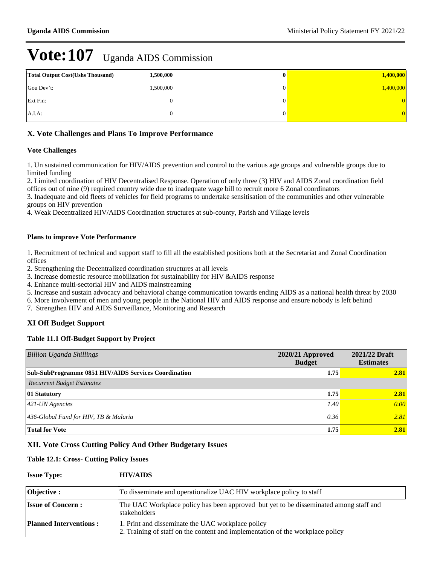| <b>Total Output Cost (Ushs Thousand)</b> | 1,500,000 | v | 1,400,000 |
|------------------------------------------|-----------|---|-----------|
| Gou Dev't:                               | 1,500,000 |   | 1,400,000 |
| Ext Fin:                                 |           |   | $\Omega$  |
| $A.I.A$ :                                |           |   | 0.        |

## **X. Vote Challenges and Plans To Improve Performance**

## **Vote Challenges**

1. Un sustained communication for HIV/AIDS prevention and control to the various age groups and vulnerable groups due to limited funding

2. Limited coordination of HIV Decentralised Response. Operation of only three (3) HIV and AIDS Zonal coordination field offices out of nine (9) required country wide due to inadequate wage bill to recruit more 6 Zonal coordinators

3. Inadequate and old fleets of vehicles for field programs to undertake sensitisation of the communities and other vulnerable groups on HIV prevention

4. Weak Decentralized HIV/AIDS Coordination structures at sub-county, Parish and Village levels

## **Plans to improve Vote Performance**

1. Recruitment of technical and support staff to fill all the established positions both at the Secretariat and Zonal Coordination offices

2. Strengthening the Decentralized coordination structures at all levels

3. Increase domestic resource mobilization for sustainability for HIV &AIDS response

4. Enhance multi-sectorial HIV and AIDS mainstreaming

5. Increase and sustain advocacy and behavioral change communication towards ending AIDS as a national health threat by 2030

6. More involvement of men and young people in the National HIV and AIDS response and ensure nobody is left behind

7. Strengthen HIV and AIDS Surveillance, Monitoring and Research

## **XI Off Budget Support**

### **Table 11.1 Off-Budget Support by Project**

| <b>Billion Uganda Shillings</b>                      | $2020/21$ Approved<br><b>Budget</b> | 2021/22 Draft<br><b>Estimates</b> |
|------------------------------------------------------|-------------------------------------|-----------------------------------|
| Sub-SubProgramme 0851 HIV/AIDS Services Coordination | 1.75                                | 2.81                              |
| <b>Recurrent Budget Estimates</b>                    |                                     |                                   |
| 01 Statutory                                         | 1.75                                | 2.81                              |
| $421$ -UN Agencies                                   | 1.40                                | 0.00                              |
| 436-Global Fund for HIV, TB & Malaria                | 0.36                                | 2.81                              |
| <b>Total for Vote</b>                                | 1.75                                | 2.81                              |

## **XII. Vote Cross Cutting Policy And Other Budgetary Issues**

### **Table 12.1: Cross- Cutting Policy Issues**

### **Issue Type: HIV/AIDS**

| <b>Objective</b> :            | To disseminate and operationalize UAC HIV workplace policy to staff                                                                 |
|-------------------------------|-------------------------------------------------------------------------------------------------------------------------------------|
| <b>Issue of Concern:</b>      | The UAC Workplace policy has been approved but yet to be disseminated among staff and<br>stakeholders                               |
| <b>Planned Interventions:</b> | 1. Print and disseminate the UAC workplace policy<br>2. Training of staff on the content and implementation of the workplace policy |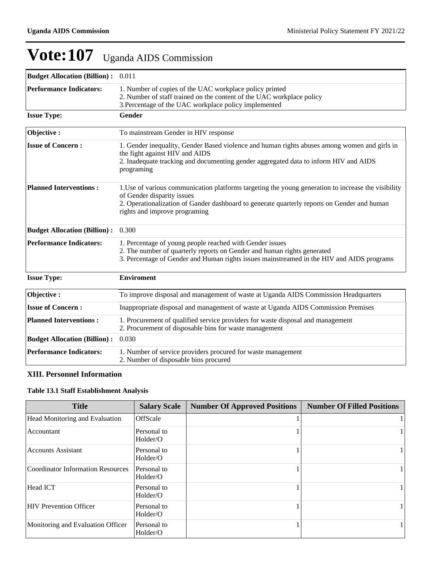| <b>Budget Allocation (Billion):</b> 0.011 |                                                                                                                                                                                                                                                                   |
|-------------------------------------------|-------------------------------------------------------------------------------------------------------------------------------------------------------------------------------------------------------------------------------------------------------------------|
| <b>Performance Indicators:</b>            | 1. Number of copies of the UAC workplace policy printed<br>2. Number of staff trained on the content of the UAC workplace policy<br>3. Percentage of the UAC workplace policy implemented                                                                         |
| <b>Issue Type:</b>                        | Gender                                                                                                                                                                                                                                                            |
| Objective:                                | To mainstream Gender in HIV response                                                                                                                                                                                                                              |
| <b>Issue of Concern:</b>                  | 1. Gender inequality, Gender Based violence and human rights abuses among women and girls in<br>the fight against HIV and AIDS<br>2. Inadequate tracking and documenting gender aggregated data to inform HIV and AIDS<br>programing                              |
| <b>Planned Interventions:</b>             | 1. Use of various communication platforms targeting the young generation to increase the visibility<br>of Gender disparity issues<br>2. Operationalization of Gander dashboard to generate quarterly reports on Gender and human<br>rights and improve programing |
| <b>Budget Allocation (Billion):</b>       | 0.300                                                                                                                                                                                                                                                             |
| <b>Performance Indicators:</b>            | 1. Percentage of young people reached with Gender issues<br>2. The number of quarterly reports on Gender and human rights generated<br>3. Percentage of Gender and Human rights issues mainstreamed in the HIV and AIDS programs                                  |
| <b>Issue Type:</b>                        | <b>Enviroment</b>                                                                                                                                                                                                                                                 |
| Objective:                                | To improve disposal and management of waste at Uganda AIDS Commission Headquarters                                                                                                                                                                                |
| <b>Issue of Concern:</b>                  | Inappropriate disposal and management of waste at Uganda AIDS Commission Premises                                                                                                                                                                                 |
| <b>Planned Interventions:</b>             | 1. Procurement of qualified service providers for waste disposal and management<br>2. Procurement of disposable bins for waste management                                                                                                                         |
| <b>Budget Allocation (Billion):</b>       | 0.030                                                                                                                                                                                                                                                             |
| <b>Performance Indicators:</b>            | 1. Number of service providers procured for waste management<br>2. Number of disposable bins procured                                                                                                                                                             |

## **XIII. Personnel Information**

## **Table 13.1 Staff Establishment Analysis**

| <b>Title</b>                      | <b>Salary Scale</b>     | <b>Number Of Approved Positions</b> | <b>Number Of Filled Positions</b> |
|-----------------------------------|-------------------------|-------------------------------------|-----------------------------------|
| Head Monitoring and Evaluation    | OffScale                |                                     |                                   |
| Accountant                        | Personal to<br>Holder/O |                                     | 1                                 |
| <b>Accounts Assistant</b>         | Personal to<br>Holder/O |                                     | 1                                 |
| Coordinator Information Resources | Personal to<br>Holder/O |                                     | 1                                 |
| Head ICT                          | Personal to<br>Holder/O |                                     | 1                                 |
| <b>HIV Prevention Officer</b>     | Personal to<br>Holder/O |                                     | 1                                 |
| Monitoring and Evaluation Officer | Personal to<br>Holder/O |                                     | 1                                 |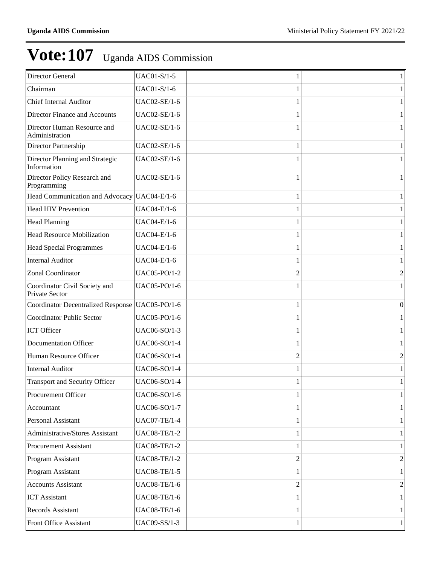| Director General                                       | UAC01-S/1-5         |                | 1              |
|--------------------------------------------------------|---------------------|----------------|----------------|
| Chairman                                               | <b>UAC01-S/1-6</b>  |                | 1              |
| <b>Chief Internal Auditor</b>                          | UAC02-SE/1-6        |                | 1              |
| Director Finance and Accounts                          | UAC02-SE/1-6        |                | 1              |
| Director Human Resource and<br>Administration          | UAC02-SE/1-6        |                | 1              |
| Director Partnership                                   | UAC02-SE/1-6        |                | 1              |
| Director Planning and Strategic<br>Information         | UAC02-SE/1-6        |                | 1              |
| Director Policy Research and<br>Programming            | UAC02-SE/1-6        |                | 1              |
| Head Communication and Advocacy UAC04-E/1-6            |                     |                | 1              |
| <b>Head HIV Prevention</b>                             | UAC04-E/1-6         |                | 1              |
| <b>Head Planning</b>                                   | UAC04-E/1-6         |                | 1              |
| <b>Head Resource Mobilization</b>                      | <b>UAC04-E/1-6</b>  |                | 1              |
| <b>Head Special Programmes</b>                         | UAC04-E/1-6         |                | 1              |
| <b>Internal Auditor</b>                                | UAC04-E/1-6         |                | 1              |
| Zonal Coordinator                                      | UAC05-PO/1-2        | $\overline{c}$ | $\overline{2}$ |
| Coordinator Civil Society and<br><b>Private Sector</b> | UAC05-PO/1-6        |                | 1              |
| Coordinator Decentralized Response   UAC05-PO/1-6      |                     | 1              | $\mathbf{0}$   |
| <b>Coordinator Public Sector</b>                       | <b>UAC05-PO/1-6</b> |                | 1              |
| ICT Officer                                            | UAC06-SO/1-3        |                |                |
| <b>Documentation Officer</b>                           | <b>UAC06-SO/1-4</b> | 1              | 1              |
| Human Resource Officer                                 | UAC06-SO/1-4        | $\overline{2}$ | 2              |
| <b>Internal Auditor</b>                                | <b>UAC06-SO/1-4</b> |                | 1              |
| <b>Transport and Security Officer</b>                  | UAC06-SO/1-4        |                |                |
| Procurement Officer                                    | UAC06-SO/1-6        | 1              |                |
| Accountant                                             | <b>UAC06-SO/1-7</b> |                |                |
| Personal Assistant                                     | <b>UAC07-TE/1-4</b> |                |                |
| Administrative/Stores Assistant                        | <b>UAC08-TE/1-2</b> |                |                |
| <b>Procurement Assistant</b>                           | <b>UAC08-TE/1-2</b> |                |                |
| Program Assistant                                      | <b>UAC08-TE/1-2</b> | $\overline{2}$ | 2              |
| Program Assistant                                      | <b>UAC08-TE/1-5</b> |                |                |
| <b>Accounts Assistant</b>                              | <b>UAC08-TE/1-6</b> | $\overline{2}$ | $\overline{c}$ |
| <b>ICT</b> Assistant                                   | <b>UAC08-TE/1-6</b> |                |                |
| Records Assistant                                      | <b>UAC08-TE/1-6</b> |                |                |
| Front Office Assistant                                 | UAC09-SS/1-3        | 1              | 1              |
|                                                        |                     |                |                |